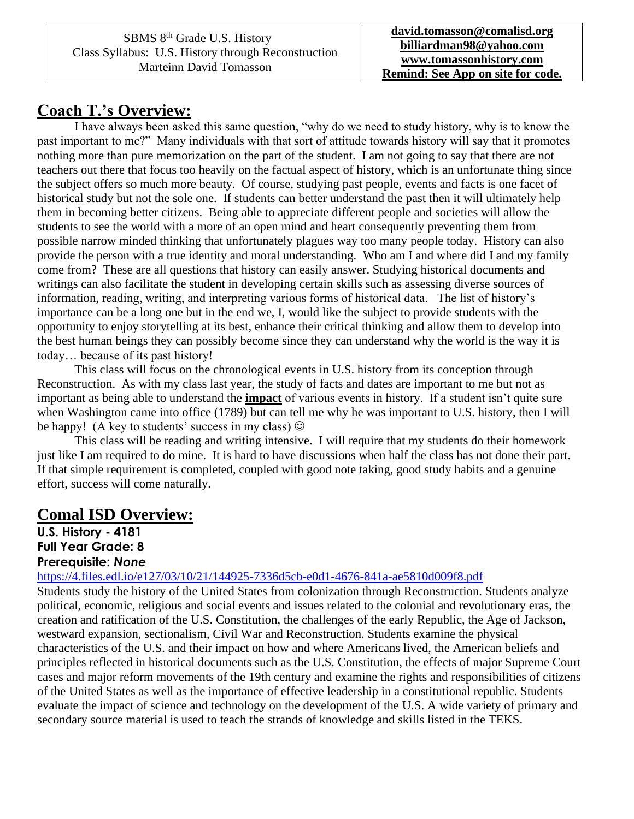### **Coach T.'s Overview:**

I have always been asked this same question, "why do we need to study history, why is to know the past important to me?" Many individuals with that sort of attitude towards history will say that it promotes nothing more than pure memorization on the part of the student. I am not going to say that there are not teachers out there that focus too heavily on the factual aspect of history, which is an unfortunate thing since the subject offers so much more beauty. Of course, studying past people, events and facts is one facet of historical study but not the sole one. If students can better understand the past then it will ultimately help them in becoming better citizens. Being able to appreciate different people and societies will allow the students to see the world with a more of an open mind and heart consequently preventing them from possible narrow minded thinking that unfortunately plagues way too many people today. History can also provide the person with a true identity and moral understanding. Who am I and where did I and my family come from? These are all questions that history can easily answer. Studying historical documents and writings can also facilitate the student in developing certain skills such as assessing diverse sources of information, reading, writing, and interpreting various forms of historical data. The list of history's importance can be a long one but in the end we, I, would like the subject to provide students with the opportunity to enjoy storytelling at its best, enhance their critical thinking and allow them to develop into the best human beings they can possibly become since they can understand why the world is the way it is today… because of its past history!

This class will focus on the chronological events in U.S. history from its conception through Reconstruction. As with my class last year, the study of facts and dates are important to me but not as important as being able to understand the **impact** of various events in history. If a student isn't quite sure when Washington came into office (1789) but can tell me why he was important to U.S. history, then I will be happy! (A key to students' success in my class)  $\odot$ 

This class will be reading and writing intensive. I will require that my students do their homework just like I am required to do mine. It is hard to have discussions when half the class has not done their part. If that simple requirement is completed, coupled with good note taking, good study habits and a genuine effort, success will come naturally.

#### **Comal ISD Overview:**

**U.S. History - 4181 Full Year Grade: 8 Prerequisite:** *None*

<https://4.files.edl.io/e127/03/10/21/144925-7336d5cb-e0d1-4676-841a-ae5810d009f8.pdf>

Students study the history of the United States from colonization through Reconstruction. Students analyze political, economic, religious and social events and issues related to the colonial and revolutionary eras, the creation and ratification of the U.S. Constitution, the challenges of the early Republic, the Age of Jackson, westward expansion, sectionalism, Civil War and Reconstruction. Students examine the physical characteristics of the U.S. and their impact on how and where Americans lived, the American beliefs and principles reflected in historical documents such as the U.S. Constitution, the effects of major Supreme Court cases and major reform movements of the 19th century and examine the rights and responsibilities of citizens of the United States as well as the importance of effective leadership in a constitutional republic. Students evaluate the impact of science and technology on the development of the U.S. A wide variety of primary and secondary source material is used to teach the strands of knowledge and skills listed in the TEKS.